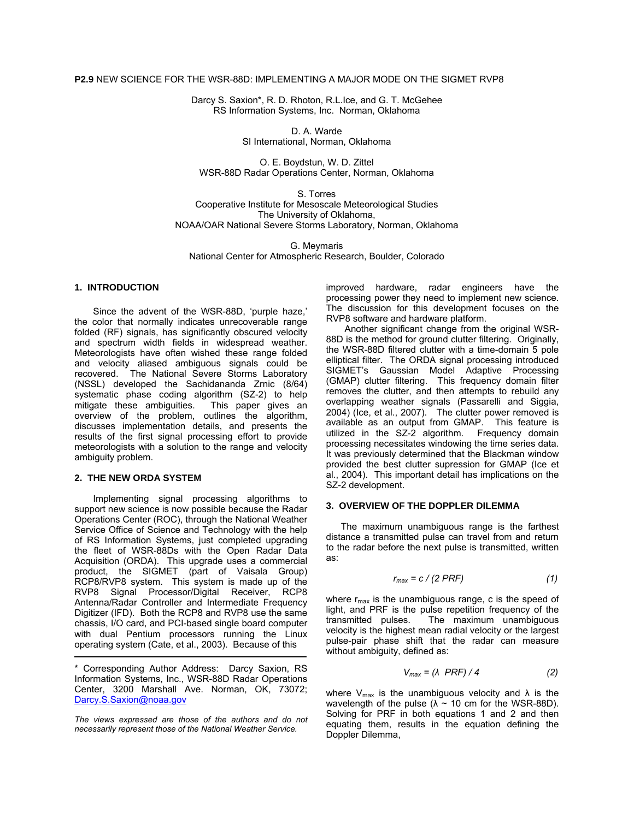## **P2.9** NEW SCIENCE FOR THE WSR-88D: IMPLEMENTING A MAJOR MODE ON THE SIGMET RVP8

Darcy S. Saxion\*, R. D. Rhoton, R.L.Ice, and G. T. McGehee RS Information Systems, Inc. Norman, Oklahoma

> D. A. Warde SI International, Norman, Oklahoma

O. E. Boydstun, W. D. Zittel WSR-88D Radar Operations Center, Norman, Oklahoma

S. Torres Cooperative Institute for Mesoscale Meteorological Studies The University of Oklahoma, NOAA/OAR National Severe Storms Laboratory, Norman, Oklahoma

G. Meymaris National Center for Atmospheric Research, Boulder, Colorado

# **1. INTRODUCTION**

Since the advent of the WSR-88D, 'purple haze,' the color that normally indicates unrecoverable range folded (RF) signals, has significantly obscured velocity and spectrum width fields in widespread weather. Meteorologists have often wished these range folded and velocity aliased ambiguous signals could be recovered. The National Severe Storms Laboratory (NSSL) developed the Sachidananda Zrnic (8/64) systematic phase coding algorithm (SZ-2) to help mitigate these ambiguities. This paper gives an overview of the problem, outlines the algorithm, discusses implementation details, and presents the results of the first signal processing effort to provide meteorologists with a solution to the range and velocity ambiguity problem.

# **2. THE NEW ORDA SYSTEM**

Implementing signal processing algorithms to support new science is now possible because the Radar Operations Center (ROC), through the National Weather Service Office of Science and Technology with the help of RS Information Systems, just completed upgrading the fleet of WSR-88Ds with the Open Radar Data Acquisition (ORDA). This upgrade uses a commercial product, the SIGMET (part of Vaisala Group) RCP8/RVP8 system. This system is made up of the RVP8 Signal Processor/Digital Receiver, RCP8 Antenna/Radar Controller and Intermediate Frequency Digitizer (IFD). Both the RCP8 and RVP8 use the same chassis, I/O card, and PCI-based single board computer with dual Pentium processors running the Linux operating system (Cate, et al., 2003). Because of this

\* Corresponding Author Address: Darcy Saxion, RS Information Systems, Inc., WSR-88D Radar Operations Center, 3200 Marshall Ave. Norman, OK, 73072; Darcy.S.Saxion@noaa.gov

*The views expressed are those of the authors and do not necessarily represent those of the National Weather Service.*

improved hardware, radar engineers have the processing power they need to implement new science. The discussion for this development focuses on the RVP8 software and hardware platform.

Another significant change from the original WSR-88D is the method for ground clutter filtering. Originally, the WSR-88D filtered clutter with a time-domain 5 pole elliptical filter. The ORDA signal processing introduced SIGMET's Gaussian Model Adaptive Processing (GMAP) clutter filtering. This frequency domain filter removes the clutter, and then attempts to rebuild any overlapping weather signals (Passarelli and Siggia, 2004) (Ice, et al., 2007). The clutter power removed is available as an output from GMAP. This feature is utilized in the SZ-2 algorithm. Frequency domain processing necessitates windowing the time series data. It was previously determined that the Blackman window provided the best clutter supression for GMAP (Ice et al., 2004). This important detail has implications on the SZ-2 development.

#### **3. OVERVIEW OF THE DOPPLER DILEMMA**

The maximum unambiguous range is the farthest distance a transmitted pulse can travel from and return to the radar before the next pulse is transmitted, written as:

$$
r_{\text{max}} = c / (2 \text{ } PRF) \tag{1}
$$

where  $r_{\text{max}}$  is the unambiguous range, c is the speed of light, and PRF is the pulse repetition frequency of the transmitted pulses. The maximum unambiguous velocity is the highest mean radial velocity or the largest pulse-pair phase shift that the radar can measure without ambiguity, defined as:

$$
V_{\text{max}} = (\lambda \text{ } PRF) / 4 \tag{2}
$$

where  $V_{\text{max}}$  is the unambiguous velocity and  $\lambda$  is the wavelength of the pulse ( $\lambda \sim 10$  cm for the WSR-88D). Solving for PRF in both equations 1 and 2 and then equating them, results in the equation defining the Doppler Dilemma,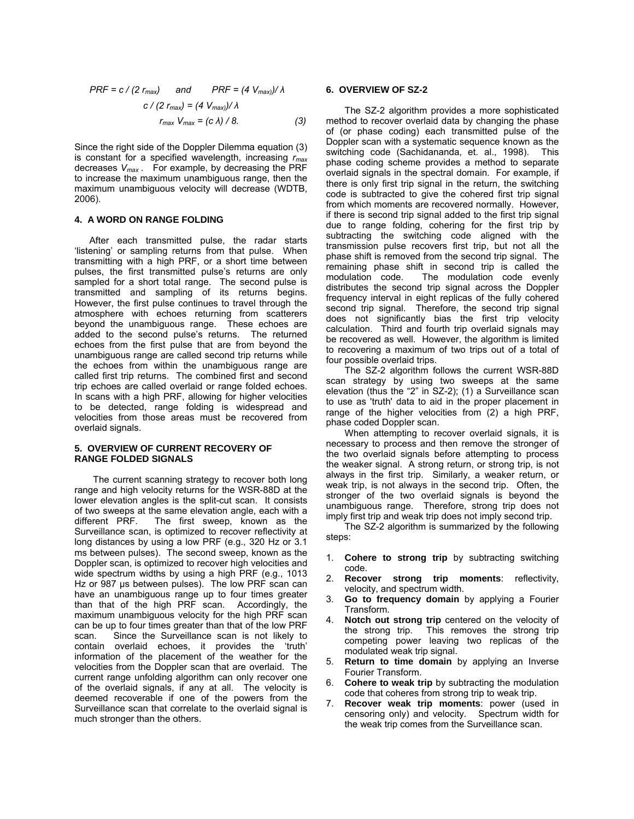$$
PRF = c / (2 r_{max}) \quad \text{and} \quad PRF = (4 V_{max}) / \lambda
$$

$$
c / (2 r_{max}) = (4 V_{max}) / \lambda
$$

$$
r_{max} V_{max} = (c \lambda) / 8. \quad (3)
$$

Since the right side of the Doppler Dilemma equation (3) is constant for a specified wavelength, increasing *rmax* decreases  $V_{max}$ . For example, by decreasing the PRF to increase the maximum unambiguous range, then the maximum unambiguous velocity will decrease (WDTB, 2006).

#### **4. A WORD ON RANGE FOLDING**

After each transmitted pulse, the radar starts 'listening' or sampling returns from that pulse. When transmitting with a high PRF, or a short time between pulses, the first transmitted pulse's returns are only sampled for a short total range. The second pulse is transmitted and sampling of its returns begins. However, the first pulse continues to travel through the atmosphere with echoes returning from scatterers beyond the unambiguous range. These echoes are added to the second pulse's returns. The returned echoes from the first pulse that are from beyond the unambiguous range are called second trip returns while the echoes from within the unambiguous range are called first trip returns. The combined first and second trip echoes are called overlaid or range folded echoes. In scans with a high PRF, allowing for higher velocities to be detected, range folding is widespread and velocities from those areas must be recovered from overlaid signals.

### **5. OVERVIEW OF CURRENT RECOVERY OF RANGE FOLDED SIGNALS**

The current scanning strategy to recover both long range and high velocity returns for the WSR-88D at the lower elevation angles is the split-cut scan. It consists of two sweeps at the same elevation angle, each with a different PRF. The first sweep, known as the Surveillance scan, is optimized to recover reflectivity at long distances by using a low PRF (e.g., 320 Hz or 3.1 ms between pulses). The second sweep, known as the Doppler scan, is optimized to recover high velocities and wide spectrum widths by using a high PRF (e.g., 1013 Hz or 987 μs between pulses). The low PRF scan can have an unambiguous range up to four times greater than that of the high PRF scan. Accordingly, the maximum unambiguous velocity for the high PRF scan can be up to four times greater than that of the low PRF scan. Since the Surveillance scan is not likely to contain overlaid echoes, it provides the 'truth' information of the placement of the weather for the velocities from the Doppler scan that are overlaid. The current range unfolding algorithm can only recover one of the overlaid signals, if any at all. The velocity is deemed recoverable if one of the powers from the Surveillance scan that correlate to the overlaid signal is much stronger than the others.

### **6. OVERVIEW OF SZ-2**

The SZ-2 algorithm provides a more sophisticated method to recover overlaid data by changing the phase of (or phase coding) each transmitted pulse of the Doppler scan with a systematic sequence known as the switching code (Sachidananda, et. al., 1998). This phase coding scheme provides a method to separate overlaid signals in the spectral domain. For example, if there is only first trip signal in the return, the switching code is subtracted to give the cohered first trip signal from which moments are recovered normally. However, if there is second trip signal added to the first trip signal due to range folding, cohering for the first trip by subtracting the switching code aligned with the transmission pulse recovers first trip, but not all the phase shift is removed from the second trip signal. The remaining phase shift in second trip is called the modulation code. The modulation code evenly distributes the second trip signal across the Doppler frequency interval in eight replicas of the fully cohered second trip signal. Therefore, the second trip signal does not significantly bias the first trip velocity calculation. Third and fourth trip overlaid signals may be recovered as well. However, the algorithm is limited to recovering a maximum of two trips out of a total of four possible overlaid trips.

The SZ-2 algorithm follows the current WSR-88D scan strategy by using two sweeps at the same elevation (thus the "2" in SZ-2); (1) a Surveillance scan to use as 'truth' data to aid in the proper placement in range of the higher velocities from (2) a high PRF, phase coded Doppler scan.

When attempting to recover overlaid signals, it is necessary to process and then remove the stronger of the two overlaid signals before attempting to process the weaker signal. A strong return, or strong trip, is not always in the first trip. Similarly, a weaker return, or weak trip, is not always in the second trip. Often, the stronger of the two overlaid signals is beyond the unambiguous range. Therefore, strong trip does not imply first trip and weak trip does not imply second trip.

The SZ-2 algorithm is summarized by the following steps:

- 1. **Cohere to strong trip** by subtracting switching code.
- 2. **Recover strong trip moments**: reflectivity, velocity, and spectrum width.
- 3. **Go to frequency domain** by applying a Fourier Transform.
- 4. **Notch out strong trip** centered on the velocity of the strong trip. This removes the strong trip competing power leaving two replicas of the modulated weak trip signal.
- 5. **Return to time domain** by applying an Inverse Fourier Transform.
- 6. **Cohere to weak trip** by subtracting the modulation code that coheres from strong trip to weak trip.
- 7. **Recover weak trip moments**: power (used in censoring only) and velocity. Spectrum width for the weak trip comes from the Surveillance scan.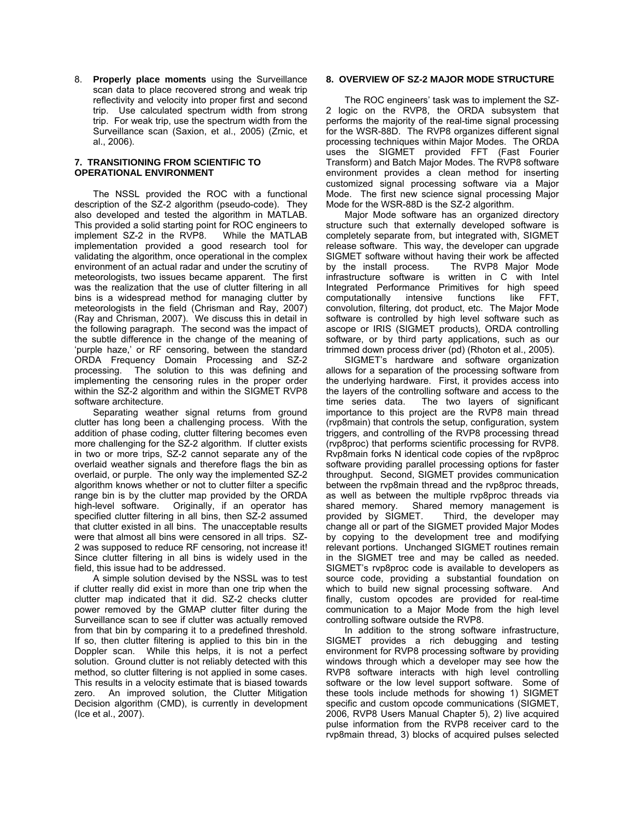8. **Properly place moments** using the Surveillance scan data to place recovered strong and weak trip reflectivity and velocity into proper first and second trip. Use calculated spectrum width from strong trip. For weak trip, use the spectrum width from the Surveillance scan (Saxion, et al., 2005) (Zrnic, et al., 2006).

# **7. TRANSITIONING FROM SCIENTIFIC TO OPERATIONAL ENVIRONMENT**

The NSSL provided the ROC with a functional description of the SZ-2 algorithm (pseudo-code). They also developed and tested the algorithm in MATLAB. This provided a solid starting point for ROC engineers to implement SZ-2 in the RVP8. While the MATLAB implementation provided a good research tool for validating the algorithm, once operational in the complex environment of an actual radar and under the scrutiny of meteorologists, two issues became apparent. The first was the realization that the use of clutter filtering in all bins is a widespread method for managing clutter by meteorologists in the field (Chrisman and Ray, 2007) (Ray and Chrisman, 2007). We discuss this in detail in the following paragraph. The second was the impact of the subtle difference in the change of the meaning of 'purple haze,' or RF censoring, between the standard ORDA Frequency Domain Processing and SZ-2 processing. The solution to this was defining and implementing the censoring rules in the proper order within the SZ-2 algorithm and within the SIGMET RVP8 software architecture.

Separating weather signal returns from ground clutter has long been a challenging process. With the addition of phase coding, clutter filtering becomes even more challenging for the SZ-2 algorithm. If clutter exists in two or more trips, SZ-2 cannot separate any of the overlaid weather signals and therefore flags the bin as overlaid, or purple. The only way the implemented SZ-2 algorithm knows whether or not to clutter filter a specific range bin is by the clutter map provided by the ORDA high-level software. Originally, if an operator has Originally, if an operator has specified clutter filtering in all bins, then SZ-2 assumed that clutter existed in all bins. The unacceptable results were that almost all bins were censored in all trips. SZ-2 was supposed to reduce RF censoring, not increase it! Since clutter filtering in all bins is widely used in the field, this issue had to be addressed.

A simple solution devised by the NSSL was to test if clutter really did exist in more than one trip when the clutter map indicated that it did. SZ-2 checks clutter power removed by the GMAP clutter filter during the Surveillance scan to see if clutter was actually removed from that bin by comparing it to a predefined threshold. If so, then clutter filtering is applied to this bin in the Doppler scan. While this helps, it is not a perfect solution. Ground clutter is not reliably detected with this method, so clutter filtering is not applied in some cases. This results in a velocity estimate that is biased towards zero. An improved solution, the Clutter Mitigation Decision algorithm (CMD), is currently in development (Ice et al., 2007).

### **8. OVERVIEW OF SZ-2 MAJOR MODE STRUCTURE**

The ROC engineers' task was to implement the SZ-2 logic on the RVP8, the ORDA subsystem that performs the majority of the real-time signal processing for the WSR-88D. The RVP8 organizes different signal processing techniques within Major Modes. The ORDA uses the SIGMET provided FFT (Fast Fourier Transform) and Batch Major Modes. The RVP8 software environment provides a clean method for inserting customized signal processing software via a Major Mode. The first new science signal processing Major Mode for the WSR-88D is the SZ-2 algorithm.

Major Mode software has an organized directory structure such that externally developed software is completely separate from, but integrated with, SIGMET release software. This way, the developer can upgrade SIGMET software without having their work be affected by the install process. The RVP8 Major Mode infrastructure software is written in C with Intel Integrated Performance Primitives for high speed<br>computationally intensive functions like FFT. computationally intensive functions like FFT, convolution, filtering, dot product, etc. The Major Mode software is controlled by high level software such as ascope or IRIS (SIGMET products), ORDA controlling software, or by third party applications, such as our trimmed down process driver (pd) (Rhoton et al., 2005).

SIGMET's hardware and software organization allows for a separation of the processing software from the underlying hardware. First, it provides access into the layers of the controlling software and access to the time series data. The two layers of significant importance to this project are the RVP8 main thread (rvp8main) that controls the setup, configuration, system triggers, and controlling of the RVP8 processing thread (rvp8proc) that performs scientific processing for RVP8. Rvp8main forks N identical code copies of the rvp8proc software providing parallel processing options for faster throughput. Second, SIGMET provides communication between the rvp8main thread and the rvp8proc threads, as well as between the multiple rvp8proc threads via<br>shared memory. Shared memory management is shared memory. Shared memory management is provided by SIGMET. Third, the developer may Third, the developer may change all or part of the SIGMET provided Major Modes by copying to the development tree and modifying relevant portions. Unchanged SIGMET routines remain in the SIGMET tree and may be called as needed. SIGMET's rvp8proc code is available to developers as source code, providing a substantial foundation on which to build new signal processing software. And finally, custom opcodes are provided for real-time communication to a Major Mode from the high level controlling software outside the RVP8.

In addition to the strong software infrastructure, SIGMET provides a rich debugging and testing environment for RVP8 processing software by providing windows through which a developer may see how the RVP8 software interacts with high level controlling software or the low level support software. Some of these tools include methods for showing 1) SIGMET specific and custom opcode communications (SIGMET, 2006, RVP8 Users Manual Chapter 5), 2) live acquired pulse information from the RVP8 receiver card to the rvp8main thread, 3) blocks of acquired pulses selected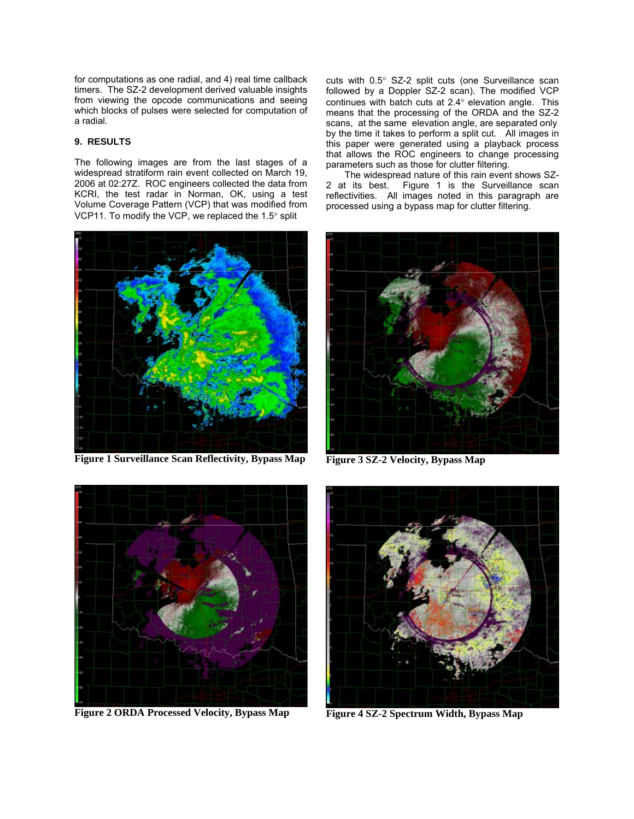for computations as one radial, and 4) real time callback timers. The SZ-2 development derived valuable insights from viewing the opcode communications and seeing which blocks of pulses were selected for computation of a radial.

## **9. RESULTS**

The following images are from the last stages of a widespread stratiform rain event collected on March 19, 2006 at 02:27Z. ROC engineers collected the data from KCRI, the test radar in Norman, OK, using a test Volume Coverage Pattern (VCP) that was modified from VCP11. To modify the VCP, we replaced the 1.5° split



**Figure 1 Surveillance Scan Reflectivity, Bypass Map**



**Figure 2 ORDA Processed Velocity, Bypass Map** 

cuts with 0.5° SZ-2 split cuts (one Surveillance scan followed by a Doppler SZ-2 scan). The modified VCP continues with batch cuts at 2.4° elevation angle. This means that the processing of the ORDA and the SZ-2 scans, at the same elevation angle, are separated only by the time it takes to perform a split cut. All images in this paper were generated using a playback process that allows the ROC engineers to change processing parameters such as those for clutter filtering.

The widespread nature of this rain event shows SZ-2 at its best. Figure 1 is the Surveillance scan reflectivities. All images noted in this paragraph are processed using a bypass map for clutter filtering.



**Figure 3 SZ-2 Velocity, Bypass Map**



**Figure 4 SZ-2 Spectrum Width, Bypass Map**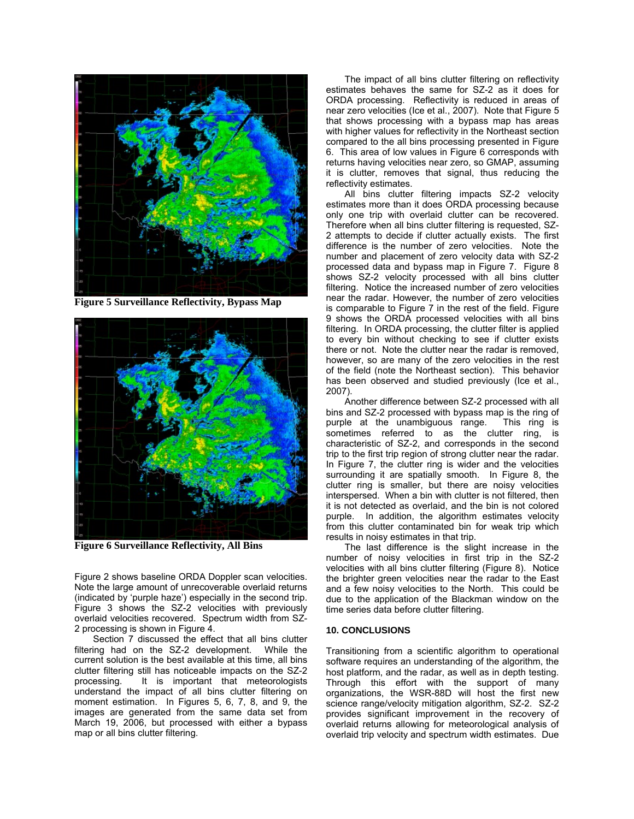

**Figure 5 Surveillance Reflectivity, Bypass Map**



**Figure 6 Surveillance Reflectivity, All Bins**

Figure 2 shows baseline ORDA Doppler scan velocities. Note the large amount of unrecoverable overlaid returns (indicated by 'purple haze') especially in the second trip. Figure 3 shows the SZ-2 velocities with previously overlaid velocities recovered. Spectrum width from SZ-2 processing is shown in Figure 4.

Section 7 discussed the effect that all bins clutter filtering had on the SZ-2 development. While the current solution is the best available at this time, all bins clutter filtering still has noticeable impacts on the SZ-2 It is important that meteorologists understand the impact of all bins clutter filtering on moment estimation. In Figures 5, 6, 7, 8, and 9, the images are generated from the same data set from March 19, 2006, but processed with either a bypass map or all bins clutter filtering.

The impact of all bins clutter filtering on reflectivity estimates behaves the same for SZ-2 as it does for ORDA processing. Reflectivity is reduced in areas of near zero velocities (Ice et al., 2007). Note that Figure 5 that shows processing with a bypass map has areas with higher values for reflectivity in the Northeast section compared to the all bins processing presented in Figure 6. This area of low values in Figure 6 corresponds with returns having velocities near zero, so GMAP, assuming it is clutter, removes that signal, thus reducing the reflectivity estimates.

All bins clutter filtering impacts SZ-2 velocity estimates more than it does ORDA processing because only one trip with overlaid clutter can be recovered. Therefore when all bins clutter filtering is requested, SZ-2 attempts to decide if clutter actually exists. The first difference is the number of zero velocities. Note the number and placement of zero velocity data with SZ-2 processed data and bypass map in Figure 7. Figure 8 shows SZ-2 velocity processed with all bins clutter filtering. Notice the increased number of zero velocities near the radar. However, the number of zero velocities is comparable to Figure 7 in the rest of the field. Figure 9 shows the ORDA processed velocities with all bins filtering. In ORDA processing, the clutter filter is applied to every bin without checking to see if clutter exists there or not. Note the clutter near the radar is removed, however, so are many of the zero velocities in the rest of the field (note the Northeast section). This behavior has been observed and studied previously (Ice et al., 2007).

Another difference between SZ-2 processed with all bins and SZ-2 processed with bypass map is the ring of purple at the unambiguous range. This ring is sometimes referred to as the clutter ring, is characteristic of SZ-2, and corresponds in the second trip to the first trip region of strong clutter near the radar. In Figure 7, the clutter ring is wider and the velocities surrounding it are spatially smooth. In Figure 8, the clutter ring is smaller, but there are noisy velocities interspersed. When a bin with clutter is not filtered, then it is not detected as overlaid, and the bin is not colored purple. In addition, the algorithm estimates velocity from this clutter contaminated bin for weak trip which results in noisy estimates in that trip.

The last difference is the slight increase in the number of noisy velocities in first trip in the SZ-2 velocities with all bins clutter filtering (Figure 8). Notice the brighter green velocities near the radar to the East and a few noisy velocities to the North. This could be due to the application of the Blackman window on the time series data before clutter filtering.

#### **10. CONCLUSIONS**

Transitioning from a scientific algorithm to operational software requires an understanding of the algorithm, the host platform, and the radar, as well as in depth testing. Through this effort with the support of many organizations, the WSR-88D will host the first new science range/velocity mitigation algorithm, SZ-2. SZ-2 provides significant improvement in the recovery of overlaid returns allowing for meteorological analysis of overlaid trip velocity and spectrum width estimates. Due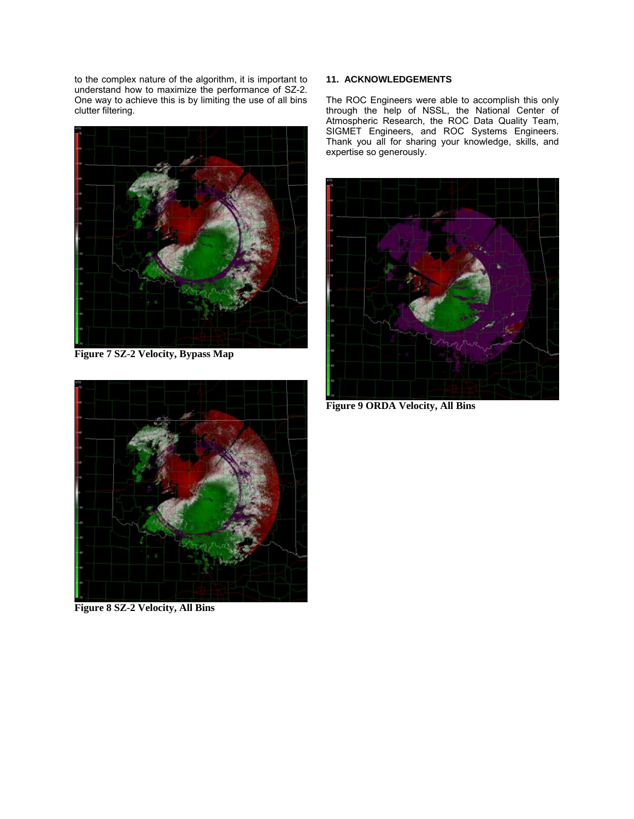to the complex nature of the algorithm, it is important to understand how to maximize the performance of SZ-2. One way to achieve this is by limiting the use of all bins clutter filtering.



**Figure 7 SZ-2 Velocity, Bypass Map**



**Figure 8 SZ-2 Velocity, All Bins**

# **11. ACKNOWLEDGEMENTS**

The ROC Engineers were able to accomplish this only through the help of NSSL, the National Center of Atmospheric Research, the ROC Data Quality Team, SIGMET Engineers, and ROC Systems Engineers. Thank you all for sharing your knowledge, skills, and expertise so generously.



**Figure 9 ORDA Velocity, All Bins**